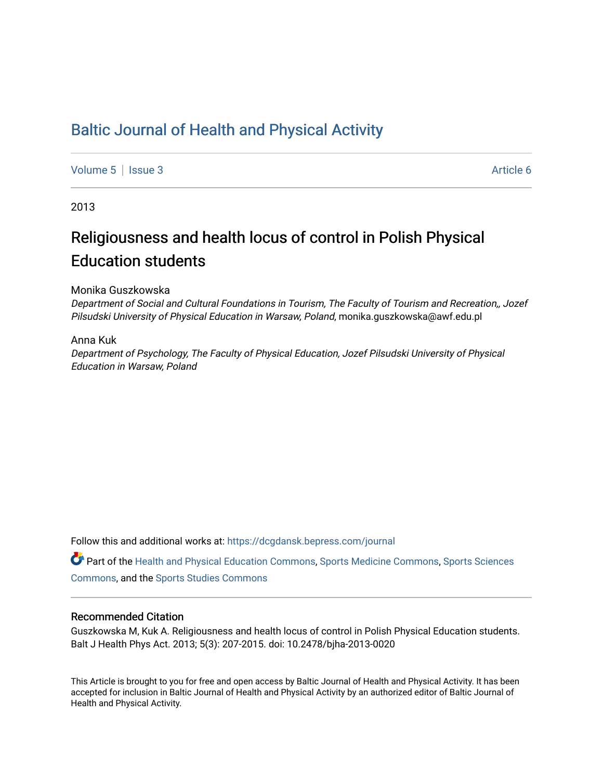## [Baltic Journal of Health and Physical Activity](https://dcgdansk.bepress.com/journal)

[Volume 5](https://dcgdansk.bepress.com/journal/vol5) | [Issue 3](https://dcgdansk.bepress.com/journal/vol5/iss3) Article 6

2013

# Religiousness and health locus of control in Polish Physical Education students

#### Monika Guszkowska

Department of Social and Cultural Foundations in Tourism, The Faculty of Tourism and Recreation,, Jozef Pilsudski University of Physical Education in Warsaw, Poland, monika.guszkowska@awf.edu.pl

#### Anna Kuk

Department of Psychology, The Faculty of Physical Education, Jozef Pilsudski University of Physical Education in Warsaw, Poland

Follow this and additional works at: [https://dcgdansk.bepress.com/journal](https://dcgdansk.bepress.com/journal?utm_source=dcgdansk.bepress.com%2Fjournal%2Fvol5%2Fiss3%2F6&utm_medium=PDF&utm_campaign=PDFCoverPages)

Part of the [Health and Physical Education Commons](http://network.bepress.com/hgg/discipline/1327?utm_source=dcgdansk.bepress.com%2Fjournal%2Fvol5%2Fiss3%2F6&utm_medium=PDF&utm_campaign=PDFCoverPages), [Sports Medicine Commons,](http://network.bepress.com/hgg/discipline/1331?utm_source=dcgdansk.bepress.com%2Fjournal%2Fvol5%2Fiss3%2F6&utm_medium=PDF&utm_campaign=PDFCoverPages) [Sports Sciences](http://network.bepress.com/hgg/discipline/759?utm_source=dcgdansk.bepress.com%2Fjournal%2Fvol5%2Fiss3%2F6&utm_medium=PDF&utm_campaign=PDFCoverPages) [Commons](http://network.bepress.com/hgg/discipline/759?utm_source=dcgdansk.bepress.com%2Fjournal%2Fvol5%2Fiss3%2F6&utm_medium=PDF&utm_campaign=PDFCoverPages), and the [Sports Studies Commons](http://network.bepress.com/hgg/discipline/1198?utm_source=dcgdansk.bepress.com%2Fjournal%2Fvol5%2Fiss3%2F6&utm_medium=PDF&utm_campaign=PDFCoverPages) 

#### Recommended Citation

Guszkowska M, Kuk A. Religiousness and health locus of control in Polish Physical Education students. Balt J Health Phys Act. 2013; 5(3): 207-2015. doi: 10.2478/bjha-2013-0020

This Article is brought to you for free and open access by Baltic Journal of Health and Physical Activity. It has been accepted for inclusion in Baltic Journal of Health and Physical Activity by an authorized editor of Baltic Journal of Health and Physical Activity.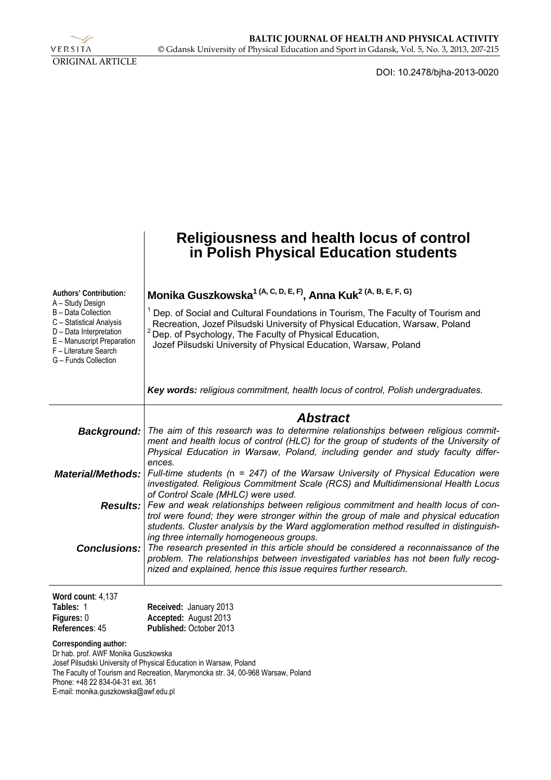

DOI: 10.2478/bjha-2013-0020

|                                                                                                                                                                               | Religiousness and health locus of control<br>in Polish Physical Education students                                                                                                                                                                                                                                                                                                                                                                       |  |  |  |  |  |  |
|-------------------------------------------------------------------------------------------------------------------------------------------------------------------------------|----------------------------------------------------------------------------------------------------------------------------------------------------------------------------------------------------------------------------------------------------------------------------------------------------------------------------------------------------------------------------------------------------------------------------------------------------------|--|--|--|--|--|--|
| Authors' Contribution:                                                                                                                                                        | Monika Guszkowska <sup>1 (A, C, D, E, F)</sup> , Anna Kuk <sup>2 (A, B, E, F, G)</sup>                                                                                                                                                                                                                                                                                                                                                                   |  |  |  |  |  |  |
| A – Study Design<br>B - Data Collection<br>C - Statistical Analysis<br>D - Data Interpretation<br>E - Manuscript Preparation<br>F - Literature Search<br>G - Funds Collection | Dep. of Social and Cultural Foundations in Tourism, The Faculty of Tourism and<br>Recreation, Jozef Pilsudski University of Physical Education, Warsaw, Poland<br><sup>2</sup> Dep. of Psychology, The Faculty of Physical Education,<br>Jozef Pilsudski University of Physical Education, Warsaw, Poland                                                                                                                                                |  |  |  |  |  |  |
|                                                                                                                                                                               | Key words: religious commitment, health locus of control, Polish undergraduates.                                                                                                                                                                                                                                                                                                                                                                         |  |  |  |  |  |  |
| Background:                                                                                                                                                                   | <b>Abstract</b><br>The aim of this research was to determine relationships between religious commit-<br>ment and health locus of control (HLC) for the group of students of the University of<br>Physical Education in Warsaw, Poland, including gender and study faculty differ-                                                                                                                                                                        |  |  |  |  |  |  |
| <b>Material/Methods:</b>                                                                                                                                                      | ences.<br>Full-time students ( $n = 247$ ) of the Warsaw University of Physical Education were<br>investigated. Religious Commitment Scale (RCS) and Multidimensional Health Locus                                                                                                                                                                                                                                                                       |  |  |  |  |  |  |
| <b>Conclusions:</b>                                                                                                                                                           | of Control Scale (MHLC) were used.<br><b>Results:</b> Few and weak relationships between religious commitment and health locus of con-<br>trol were found; they were stronger within the group of male and physical education<br>students. Cluster analysis by the Ward agglomeration method resulted in distinguish-<br>ing three internally homogeneous groups.<br>The research presented in this article should be considered a reconnaissance of the |  |  |  |  |  |  |
|                                                                                                                                                                               | problem. The relationships between investigated variables has not been fully recog-<br>nized and explained, hence this issue requires further research.                                                                                                                                                                                                                                                                                                  |  |  |  |  |  |  |
| Word count: 4,137<br>Tables: 1<br>Figures: 0<br>References: 45                                                                                                                | Received: January 2013<br>Accepted: August 2013<br>Published: October 2013                                                                                                                                                                                                                                                                                                                                                                               |  |  |  |  |  |  |
| Corresponding author:<br>Dr hab. prof. AWF Monika Guszkowska<br>Phone: +48 22 834-04-31 ext. 361                                                                              | Josef Pilsudski University of Physical Education in Warsaw, Poland<br>The Faculty of Tourism and Recreation, Marymoncka str. 34, 00-968 Warsaw, Poland                                                                                                                                                                                                                                                                                                   |  |  |  |  |  |  |

E-mail: monika.guszkowska@awf.edu.pl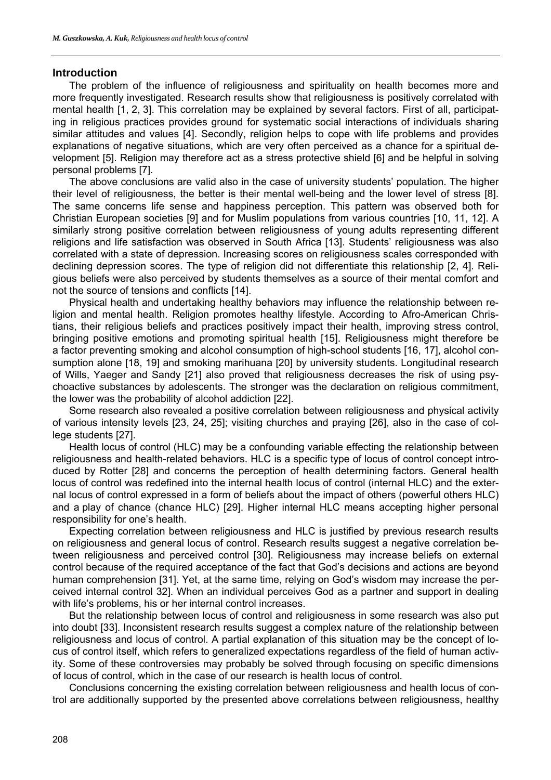#### **Introduction**

The problem of the influence of religiousness and spirituality on health becomes more and more frequently investigated. Research results show that religiousness is positively correlated with mental health [1, 2, 3]. This correlation may be explained by several factors. First of all, participating in religious practices provides ground for systematic social interactions of individuals sharing similar attitudes and values [4]. Secondly, religion helps to cope with life problems and provides explanations of negative situations, which are very often perceived as a chance for a spiritual development [5]. Religion may therefore act as a stress protective shield [6] and be helpful in solving personal problems [7].

The above conclusions are valid also in the case of university students' population. The higher their level of religiousness, the better is their mental well-being and the lower level of stress [8]. The same concerns life sense and happiness perception. This pattern was observed both for Christian European societies [9] and for Muslim populations from various countries [10, 11, 12]. A similarly strong positive correlation between religiousness of young adults representing different religions and life satisfaction was observed in South Africa [13]. Students' religiousness was also correlated with a state of depression. Increasing scores on religiousness scales corresponded with declining depression scores. The type of religion did not differentiate this relationship [2, 4]. Religious beliefs were also perceived by students themselves as a source of their mental comfort and not the source of tensions and conflicts [14].

Physical health and undertaking healthy behaviors may influence the relationship between religion and mental health. Religion promotes healthy lifestyle. According to Afro-American Christians, their religious beliefs and practices positively impact their health, improving stress control, bringing positive emotions and promoting spiritual health [15]. Religiousness might therefore be a factor preventing smoking and alcohol consumption of high-school students [16, 17], alcohol consumption alone [18, 19] and smoking marihuana [20] by university students. Longitudinal research of Wills, Yaeger and Sandy [21] also proved that religiousness decreases the risk of using psychoactive substances by adolescents. The stronger was the declaration on religious commitment, the lower was the probability of alcohol addiction [22].

Some research also revealed a positive correlation between religiousness and physical activity of various intensity levels [23, 24, 25]; visiting churches and praying [26], also in the case of college students [27].

Health locus of control (HLC) may be a confounding variable effecting the relationship between religiousness and health-related behaviors. HLC is a specific type of locus of control concept introduced by Rotter [28] and concerns the perception of health determining factors. General health locus of control was redefined into the internal health locus of control (internal HLC) and the external locus of control expressed in a form of beliefs about the impact of others (powerful others HLC) and a play of chance (chance HLC) [29]. Higher internal HLC means accepting higher personal responsibility for one's health.

Expecting correlation between religiousness and HLC is justified by previous research results on religiousness and general locus of control. Research results suggest a negative correlation between religiousness and perceived control [30]. Religiousness may increase beliefs on external control because of the required acceptance of the fact that God's decisions and actions are beyond human comprehension [31]. Yet, at the same time, relying on God's wisdom may increase the perceived internal control 32]. When an individual perceives God as a partner and support in dealing with life's problems, his or her internal control increases.

But the relationship between locus of control and religiousness in some research was also put into doubt [33]. Inconsistent research results suggest a complex nature of the relationship between religiousness and locus of control. A partial explanation of this situation may be the concept of locus of control itself, which refers to generalized expectations regardless of the field of human activity. Some of these controversies may probably be solved through focusing on specific dimensions of locus of control, which in the case of our research is health locus of control.

Conclusions concerning the existing correlation between religiousness and health locus of control are additionally supported by the presented above correlations between religiousness, healthy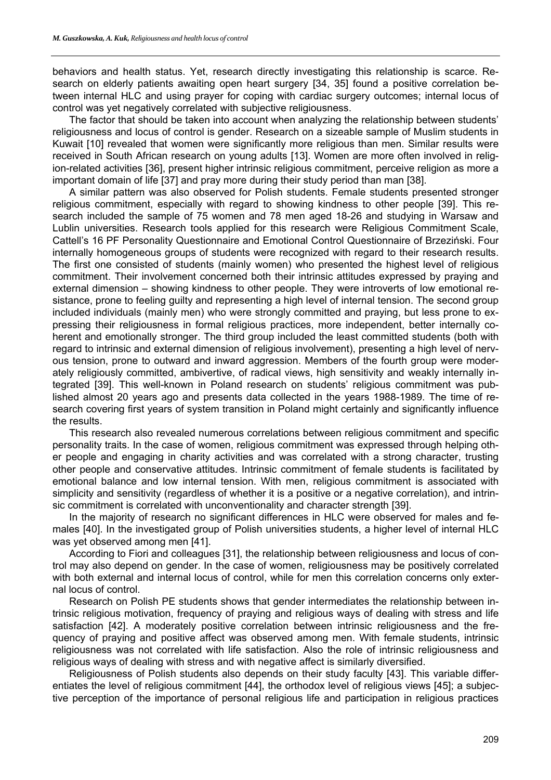behaviors and health status. Yet, research directly investigating this relationship is scarce. Research on elderly patients awaiting open heart surgery [34, 35] found a positive correlation between internal HLC and using prayer for coping with cardiac surgery outcomes; internal locus of control was yet negatively correlated with subjective religiousness.

The factor that should be taken into account when analyzing the relationship between students' religiousness and locus of control is gender. Research on a sizeable sample of Muslim students in Kuwait [10] revealed that women were significantly more religious than men. Similar results were received in South African research on young adults [13]. Women are more often involved in religion-related activities [36], present higher intrinsic religious commitment, perceive religion as more a important domain of life [37] and pray more during their study period than man [38].

A similar pattern was also observed for Polish students. Female students presented stronger religious commitment, especially with regard to showing kindness to other people [39]. This research included the sample of 75 women and 78 men aged 18-26 and studying in Warsaw and Lublin universities. Research tools applied for this research were Religious Commitment Scale, Cattell's 16 PF Personality Questionnaire and Emotional Control Questionnaire of Brzeziński. Four internally homogeneous groups of students were recognized with regard to their research results. The first one consisted of students (mainly women) who presented the highest level of religious commitment. Their involvement concerned both their intrinsic attitudes expressed by praying and external dimension – showing kindness to other people. They were introverts of low emotional resistance, prone to feeling guilty and representing a high level of internal tension. The second group included individuals (mainly men) who were strongly committed and praying, but less prone to expressing their religiousness in formal religious practices, more independent, better internally coherent and emotionally stronger. The third group included the least committed students (both with regard to intrinsic and external dimension of religious involvement), presenting a high level of nervous tension, prone to outward and inward aggression. Members of the fourth group were moderately religiously committed, ambivertive, of radical views, high sensitivity and weakly internally integrated [39]. This well-known in Poland research on students' religious commitment was published almost 20 years ago and presents data collected in the years 1988-1989. The time of research covering first years of system transition in Poland might certainly and significantly influence the results.

This research also revealed numerous correlations between religious commitment and specific personality traits. In the case of women, religious commitment was expressed through helping other people and engaging in charity activities and was correlated with a strong character, trusting other people and conservative attitudes. Intrinsic commitment of female students is facilitated by emotional balance and low internal tension. With men, religious commitment is associated with simplicity and sensitivity (regardless of whether it is a positive or a negative correlation), and intrinsic commitment is correlated with unconventionality and character strength [39].

In the majority of research no significant differences in HLC were observed for males and females [40]. In the investigated group of Polish universities students, a higher level of internal HLC was yet observed among men [41].

According to Fiori and colleagues [31], the relationship between religiousness and locus of control may also depend on gender. In the case of women, religiousness may be positively correlated with both external and internal locus of control, while for men this correlation concerns only external locus of control.

Research on Polish PE students shows that gender intermediates the relationship between intrinsic religious motivation, frequency of praying and religious ways of dealing with stress and life satisfaction [42]. A moderately positive correlation between intrinsic religiousness and the frequency of praying and positive affect was observed among men. With female students, intrinsic religiousness was not correlated with life satisfaction. Also the role of intrinsic religiousness and religious ways of dealing with stress and with negative affect is similarly diversified.

Religiousness of Polish students also depends on their study faculty [43]. This variable differentiates the level of religious commitment [44], the orthodox level of religious views [45]; a subjective perception of the importance of personal religious life and participation in religious practices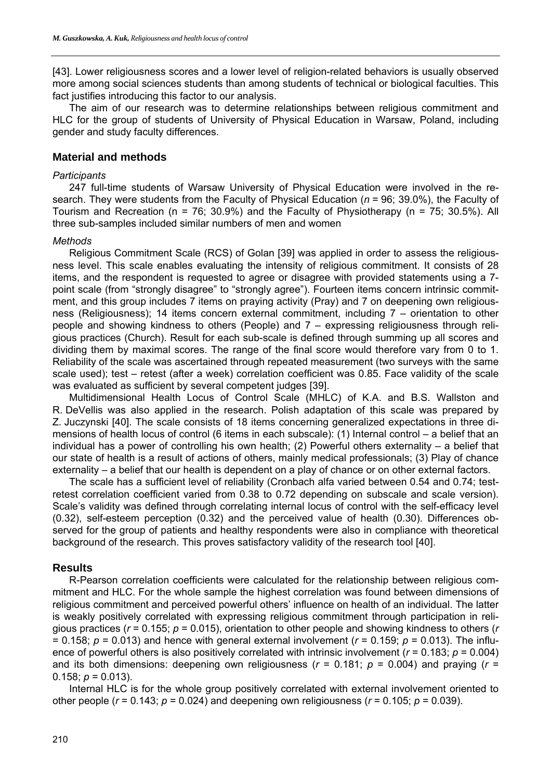[43]. Lower religiousness scores and a lower level of religion-related behaviors is usually observed more among social sciences students than among students of technical or biological faculties. This fact justifies introducing this factor to our analysis.

The aim of our research was to determine relationships between religious commitment and HLC for the group of students of University of Physical Education in Warsaw, Poland, including gender and study faculty differences.

## **Material and methods**

#### *Participants*

247 full-time students of Warsaw University of Physical Education were involved in the research. They were students from the Faculty of Physical Education (*n* = 96; 39.0%), the Faculty of Tourism and Recreation ( $n = 76$ ; 30.9%) and the Faculty of Physiotherapy ( $n = 75$ ; 30.5%). All three sub-samples included similar numbers of men and women

#### *Methods*

Religious Commitment Scale (RCS) of Golan [39] was applied in order to assess the religiousness level. This scale enables evaluating the intensity of religious commitment. It consists of 28 items, and the respondent is requested to agree or disagree with provided statements using a 7 point scale (from "strongly disagree" to "strongly agree"). Fourteen items concern intrinsic commitment, and this group includes 7 items on praying activity (Pray) and 7 on deepening own religiousness (Religiousness); 14 items concern external commitment, including 7 – orientation to other people and showing kindness to others (People) and 7 – expressing religiousness through religious practices (Church). Result for each sub-scale is defined through summing up all scores and dividing them by maximal scores. The range of the final score would therefore vary from 0 to 1. Reliability of the scale was ascertained through repeated measurement (two surveys with the same scale used); test – retest (after a week) correlation coefficient was 0.85. Face validity of the scale was evaluated as sufficient by several competent judges [39].

Multidimensional Health Locus of Control Scale (MHLC) of K.A. and B.S. Wallston and R. DeVellis was also applied in the research. Polish adaptation of this scale was prepared by Z. Juczynski [40]. The scale consists of 18 items concerning generalized expectations in three dimensions of health locus of control (6 items in each subscale): (1) Internal control – a belief that an individual has a power of controlling his own health; (2) Powerful others externality – a belief that our state of health is a result of actions of others, mainly medical professionals; (3) Play of chance externality – a belief that our health is dependent on a play of chance or on other external factors.

The scale has a sufficient level of reliability (Cronbach alfa varied between 0.54 and 0.74; testretest correlation coefficient varied from 0.38 to 0.72 depending on subscale and scale version). Scale's validity was defined through correlating internal locus of control with the self-efficacy level (0.32), self-esteem perception (0.32) and the perceived value of health (0.30). Differences observed for the group of patients and healthy respondents were also in compliance with theoretical background of the research. This proves satisfactory validity of the research tool [40].

### **Results**

R-Pearson correlation coefficients were calculated for the relationship between religious commitment and HLC. For the whole sample the highest correlation was found between dimensions of religious commitment and perceived powerful others' influence on health of an individual. The latter is weakly positively correlated with expressing religious commitment through participation in religious practices (*r* = 0.155; *p* = 0.015), orientation to other people and showing kindness to others (*r* = 0.158;  $p = 0.013$ ) and hence with general external involvement ( $r = 0.159$ ;  $p = 0.013$ ). The influence of powerful others is also positively correlated with intrinsic involvement (*r* = 0.183; *p* = 0.004) and its both dimensions: deepening own religiousness ( $r = 0.181$ ;  $p = 0.004$ ) and praying ( $r =$ 0.158;  $p = 0.013$ ).

Internal HLC is for the whole group positively correlated with external involvement oriented to other people ( $r = 0.143$ ;  $p = 0.024$ ) and deepening own religiousness ( $r = 0.105$ ;  $p = 0.039$ ).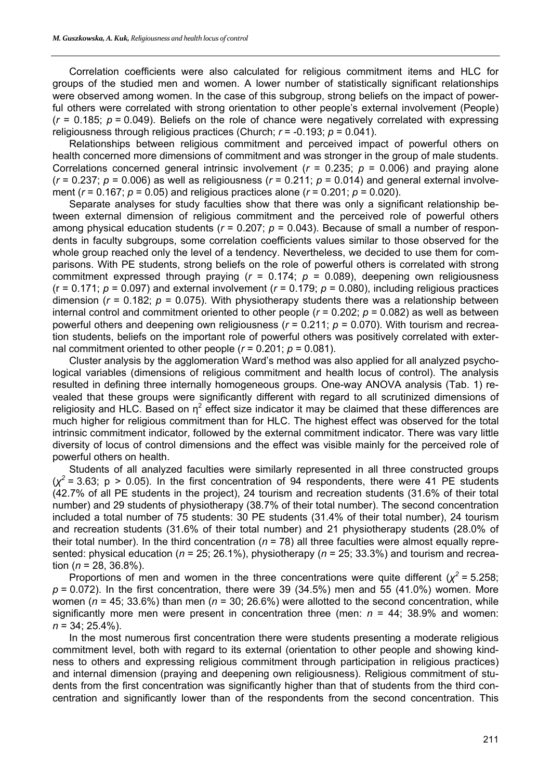Correlation coefficients were also calculated for religious commitment items and HLC for groups of the studied men and women. A lower number of statistically significant relationships were observed among women. In the case of this subgroup, strong beliefs on the impact of powerful others were correlated with strong orientation to other people's external involvement (People)  $(r = 0.185; p = 0.049)$ . Beliefs on the role of chance were negatively correlated with expressing religiousness through religious practices (Church; *r* = -0.193; *p* = 0.041).

Relationships between religious commitment and perceived impact of powerful others on health concerned more dimensions of commitment and was stronger in the group of male students. Correlations concerned general intrinsic involvement ( $r = 0.235$ ;  $p = 0.006$ ) and praying alone  $(r = 0.237; p = 0.006)$  as well as religiousness  $(r = 0.211; p = 0.014)$  and general external involvement (*r* = 0.167; *p* = 0.05) and religious practices alone (*r* = 0.201; *p* = 0.020).

Separate analyses for study faculties show that there was only a significant relationship between external dimension of religious commitment and the perceived role of powerful others among physical education students ( $r = 0.207$ ;  $p = 0.043$ ). Because of small a number of respondents in faculty subgroups, some correlation coefficients values similar to those observed for the whole group reached only the level of a tendency. Nevertheless, we decided to use them for comparisons. With PE students, strong beliefs on the role of powerful others is correlated with strong commitment expressed through praying  $(r = 0.174; p = 0.089)$ , deepening own religiousness ( $r = 0.171$ ;  $p = 0.097$ ) and external involvement ( $r = 0.179$ ;  $p = 0.080$ ), including religious practices dimension ( $r = 0.182$ ;  $p = 0.075$ ). With physiotherapy students there was a relationship between internal control and commitment oriented to other people ( $r = 0.202$ ;  $p = 0.082$ ) as well as between powerful others and deepening own religiousness (*r* = 0.211; *p* = 0.070). With tourism and recreation students, beliefs on the important role of powerful others was positively correlated with external commitment oriented to other people  $(r = 0.201; p = 0.081)$ .

Cluster analysis by the agglomeration Ward's method was also applied for all analyzed psychological variables (dimensions of religious commitment and health locus of control). The analysis resulted in defining three internally homogeneous groups. One-way ANOVA analysis (Tab. 1) revealed that these groups were significantly different with regard to all scrutinized dimensions of religiosity and HLC. Based on  $\eta^2$  effect size indicator it may be claimed that these differences are much higher for religious commitment than for HLC. The highest effect was observed for the total intrinsic commitment indicator, followed by the external commitment indicator. There was vary little diversity of locus of control dimensions and the effect was visible mainly for the perceived role of powerful others on health.

Students of all analyzed faculties were similarly represented in all three constructed groups  $(\chi^2$  = 3.63; p > 0.05). In the first concentration of 94 respondents, there were 41 PE students (42.7% of all PE students in the project), 24 tourism and recreation students (31.6% of their total number) and 29 students of physiotherapy (38.7% of their total number). The second concentration included a total number of 75 students: 30 PE students (31.4% of their total number), 24 tourism and recreation students (31.6% of their total number) and 21 physiotherapy students (28.0% of their total number). In the third concentration ( $n = 78$ ) all three faculties were almost equally represented: physical education (*n* = 25; 26.1%), physiotherapy (*n* = 25; 33.3%) and tourism and recreation  $(n = 28, 36.8\%)$ .

Proportions of men and women in the three concentrations were quite different ( $\chi^2$  = 5.258;  $p = 0.072$ ). In the first concentration, there were 39 (34.5%) men and 55 (41.0%) women. More women (*n* = 45; 33.6%) than men (*n* = 30; 26.6%) were allotted to the second concentration, while significantly more men were present in concentration three (men:  $n = 44$ : 38.9% and women: *n* = 34; 25.4%).

In the most numerous first concentration there were students presenting a moderate religious commitment level, both with regard to its external (orientation to other people and showing kindness to others and expressing religious commitment through participation in religious practices) and internal dimension (praying and deepening own religiousness). Religious commitment of students from the first concentration was significantly higher than that of students from the third concentration and significantly lower than of the respondents from the second concentration. This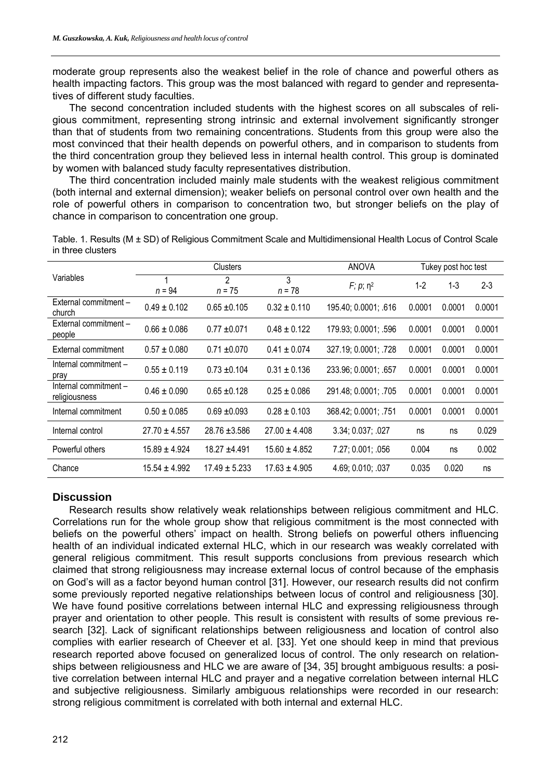moderate group represents also the weakest belief in the role of chance and powerful others as health impacting factors. This group was the most balanced with regard to gender and representatives of different study faculties.

The second concentration included students with the highest scores on all subscales of religious commitment, representing strong intrinsic and external involvement significantly stronger than that of students from two remaining concentrations. Students from this group were also the most convinced that their health depends on powerful others, and in comparison to students from the third concentration group they believed less in internal health control. This group is dominated by women with balanced study faculty representatives distribution.

The third concentration included mainly male students with the weakest religious commitment (both internal and external dimension); weaker beliefs on personal control over own health and the role of powerful others in comparison to concentration two, but stronger beliefs on the play of chance in comparison to concentration one group.

|                                        | Clusters          |                            |                   | <b>ANOVA</b>               | Tukey post hoc test |         |         |
|----------------------------------------|-------------------|----------------------------|-------------------|----------------------------|---------------------|---------|---------|
| Variables                              | $n = 94$          | $\mathfrak{p}$<br>$n = 75$ | 3<br>$n = 78$     | $F$ ; $p$ ; η <sup>2</sup> | $1-2$               | $1 - 3$ | $2 - 3$ |
| External commitment -<br>church        | $0.49 \pm 0.102$  | $0.65 \pm 0.105$           | $0.32 \pm 0.110$  | 195.40; 0.0001; .616       | 0.0001              | 0.0001  | 0.0001  |
| External commitment -<br>people        | $0.66 \pm 0.086$  | $0.77 + 0.071$             | $0.48 \pm 0.122$  | 179.93; 0.0001; .596       | 0.0001              | 0.0001  | 0.0001  |
| External commitment                    | $0.57 \pm 0.080$  | $0.71 + 0.070$             | $0.41 \pm 0.074$  | 327.19; 0.0001; .728       | 0.0001              | 0.0001  | 0.0001  |
| Internal commitment -<br>pray          | $0.55 \pm 0.119$  | $0.73 \pm 0.104$           | $0.31 \pm 0.136$  | 233.96; 0.0001; .657       | 0.0001              | 0.0001  | 0.0001  |
| Internal commitment -<br>religiousness | $0.46 \pm 0.090$  | $0.65 \pm 0.128$           | $0.25 \pm 0.086$  | 291.48; 0.0001; .705       | 0.0001              | 0.0001  | 0.0001  |
| Internal commitment                    | $0.50 \pm 0.085$  | $0.69 \pm 0.093$           | $0.28 \pm 0.103$  | 368.42; 0.0001; .751       | 0.0001              | 0.0001  | 0.0001  |
| Internal control                       | $27.70 \pm 4.557$ | $28.76 \pm 3.586$          | $27.00 \pm 4.408$ | 3.34; 0.037; .027          | ns                  | ns      | 0.029   |
| Powerful others                        | $15.89 \pm 4.924$ | $18.27 + 4.491$            | $15.60 \pm 4.852$ | 7.27; 0.001; .056          | 0.004               | ns      | 0.002   |
| Chance                                 | $15.54 \pm 4.992$ | $17.49 \pm 5.233$          | $17.63 \pm 4.905$ | 4.69; 0.010; .037          | 0.035               | 0.020   | ns      |

Table. 1. Results (M ± SD) of Religious Commitment Scale and Multidimensional Health Locus of Control Scale in three clusters

### **Discussion**

Research results show relatively weak relationships between religious commitment and HLC. Correlations run for the whole group show that religious commitment is the most connected with beliefs on the powerful others' impact on health. Strong beliefs on powerful others influencing health of an individual indicated external HLC, which in our research was weakly correlated with general religious commitment. This result supports conclusions from previous research which claimed that strong religiousness may increase external locus of control because of the emphasis on God's will as a factor beyond human control [31]. However, our research results did not confirm some previously reported negative relationships between locus of control and religiousness [30]. We have found positive correlations between internal HLC and expressing religiousness through prayer and orientation to other people. This result is consistent with results of some previous research [32]. Lack of significant relationships between religiousness and location of control also complies with earlier research of Cheever et al. [33]. Yet one should keep in mind that previous research reported above focused on generalized locus of control. The only research on relationships between religiousness and HLC we are aware of [34, 35] brought ambiguous results: a positive correlation between internal HLC and prayer and a negative correlation between internal HLC and subjective religiousness. Similarly ambiguous relationships were recorded in our research: strong religious commitment is correlated with both internal and external HLC.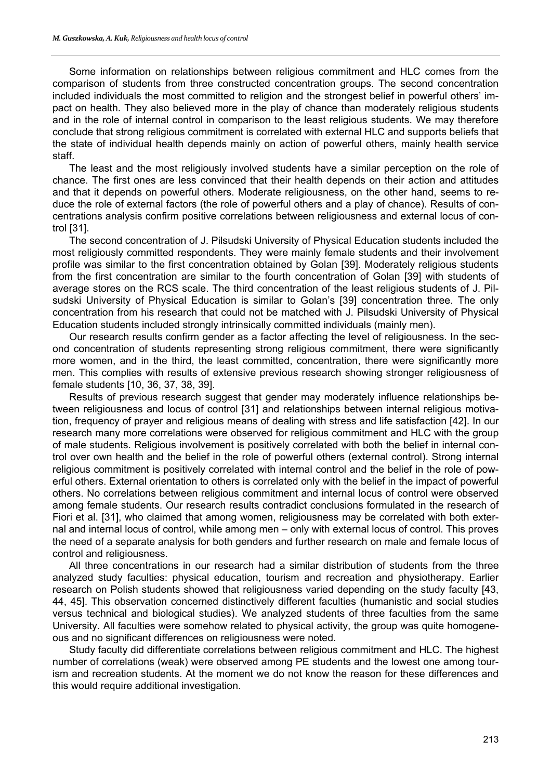Some information on relationships between religious commitment and HLC comes from the comparison of students from three constructed concentration groups. The second concentration included individuals the most committed to religion and the strongest belief in powerful others' impact on health. They also believed more in the play of chance than moderately religious students and in the role of internal control in comparison to the least religious students. We may therefore conclude that strong religious commitment is correlated with external HLC and supports beliefs that the state of individual health depends mainly on action of powerful others, mainly health service staff.

The least and the most religiously involved students have a similar perception on the role of chance. The first ones are less convinced that their health depends on their action and attitudes and that it depends on powerful others. Moderate religiousness, on the other hand, seems to reduce the role of external factors (the role of powerful others and a play of chance). Results of concentrations analysis confirm positive correlations between religiousness and external locus of control [31].

The second concentration of J. Pilsudski University of Physical Education students included the most religiously committed respondents. They were mainly female students and their involvement profile was similar to the first concentration obtained by Golan [39]. Moderately religious students from the first concentration are similar to the fourth concentration of Golan [39] with students of average stores on the RCS scale. The third concentration of the least religious students of J. Pilsudski University of Physical Education is similar to Golan's [39] concentration three. The only concentration from his research that could not be matched with J. Pilsudski University of Physical Education students included strongly intrinsically committed individuals (mainly men).

Our research results confirm gender as a factor affecting the level of religiousness. In the second concentration of students representing strong religious commitment, there were significantly more women, and in the third, the least committed, concentration, there were significantly more men. This complies with results of extensive previous research showing stronger religiousness of female students [10, 36, 37, 38, 39].

Results of previous research suggest that gender may moderately influence relationships between religiousness and locus of control [31] and relationships between internal religious motivation, frequency of prayer and religious means of dealing with stress and life satisfaction [42]. In our research many more correlations were observed for religious commitment and HLC with the group of male students. Religious involvement is positively correlated with both the belief in internal control over own health and the belief in the role of powerful others (external control). Strong internal religious commitment is positively correlated with internal control and the belief in the role of powerful others. External orientation to others is correlated only with the belief in the impact of powerful others. No correlations between religious commitment and internal locus of control were observed among female students. Our research results contradict conclusions formulated in the research of Fiori et al. [31], who claimed that among women, religiousness may be correlated with both external and internal locus of control, while among men – only with external locus of control. This proves the need of a separate analysis for both genders and further research on male and female locus of control and religiousness.

All three concentrations in our research had a similar distribution of students from the three analyzed study faculties: physical education, tourism and recreation and physiotherapy. Earlier research on Polish students showed that religiousness varied depending on the study faculty [43, 44, 45]. This observation concerned distinctively different faculties (humanistic and social studies versus technical and biological studies). We analyzed students of three faculties from the same University. All faculties were somehow related to physical activity, the group was quite homogeneous and no significant differences on religiousness were noted.

Study faculty did differentiate correlations between religious commitment and HLC. The highest number of correlations (weak) were observed among PE students and the lowest one among tourism and recreation students. At the moment we do not know the reason for these differences and this would require additional investigation.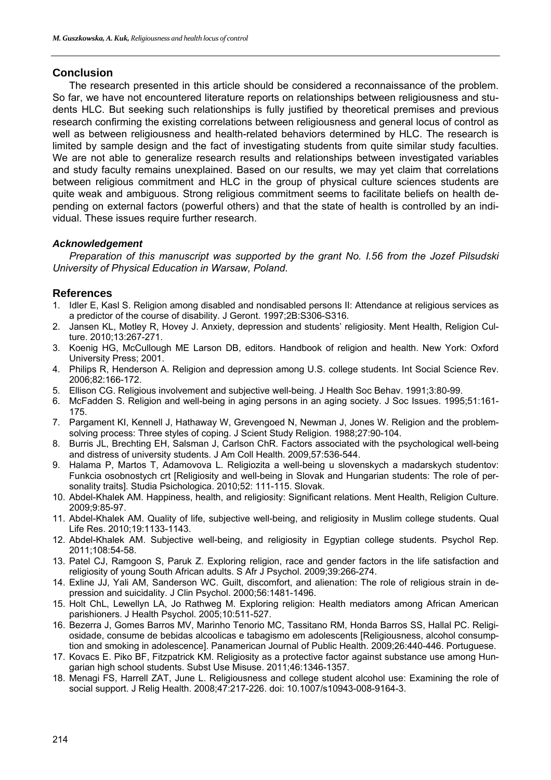## **Conclusion**

The research presented in this article should be considered a reconnaissance of the problem. So far, we have not encountered literature reports on relationships between religiousness and students HLC. But seeking such relationships is fully justified by theoretical premises and previous research confirming the existing correlations between religiousness and general locus of control as well as between religiousness and health-related behaviors determined by HLC. The research is limited by sample design and the fact of investigating students from quite similar study faculties. We are not able to generalize research results and relationships between investigated variables and study faculty remains unexplained. Based on our results, we may yet claim that correlations between religious commitment and HLC in the group of physical culture sciences students are quite weak and ambiguous. Strong religious commitment seems to facilitate beliefs on health depending on external factors (powerful others) and that the state of health is controlled by an individual. These issues require further research.

## *Acknowledgement*

*Preparation of this manuscript was supported by the grant No. I.56 from the Jozef Pilsudski University of Physical Education in Warsaw, Poland.* 

### **References**

- 1. Idler E, Kasl S. Religion among disabled and nondisabled persons II: Attendance at religious services as a predictor of the course of disability. J Geront. 1997;2B:S306-S316.
- 2. Jansen KL, Motley R, Hovey J. Anxiety, depression and students' religiosity. Ment Health, Religion Culture. 2010;13:267-271.
- 3. Koenig HG, McCullough ME Larson DB, editors. Handbook of religion and health. New York: Oxford University Press; 2001.
- 4. Philips R, Henderson A. Religion and depression among U.S. college students. Int Social Science Rev. 2006;82:166-172.
- 5. Ellison CG. Religious involvement and subjective well-being. J Health Soc Behav. 1991;3:80-99.
- 6. McFadden S. Religion and well-being in aging persons in an aging society. J Soc Issues. 1995;51:161- 175.
- 7. Pargament KI, Kennell J, Hathaway W, Grevengoed N, Newman J, Jones W. Religion and the problemsolving process: Three styles of coping. J Scient Study Religion. 1988;27:90-104.
- 8. Burris JL, Brechting EH, Salsman J, Carlson ChR. Factors associated with the psychological well-being and distress of university students. J Am Coll Health. 2009,57:536-544.
- 9. Halama P, Martos T, Adamovova L. Religiozita a well-being u slovenskych a madarskych studentov: Funkcia osobnostych crt [Religiosity and well-being in Slovak and Hungarian students: The role of personality traits]. Studia Psichologica. 2010;52: 111-115. Slovak.
- 10. Abdel-Khalek AM. Happiness, health, and religiosity: Significant relations. Ment Health, Religion Culture. 2009;9:85-97.
- 11. Abdel-Khalek AM. Quality of life, subjective well-being, and religiosity in Muslim college students. Qual Life Res. 2010;19:1133-1143.
- 12. Abdel-Khalek AM. Subjective well-being, and religiosity in Egyptian college students. Psychol Rep. 2011;108:54-58.
- 13. Patel CJ, Ramgoon S, Paruk Z. Exploring religion, race and gender factors in the life satisfaction and religiosity of young South African adults. S Afr J Psychol. 2009;39:266-274.
- 14. Exline JJ, Yali AM, Sanderson WC. Guilt, discomfort, and alienation: The role of religious strain in depression and suicidality. J Clin Psychol. 2000;56:1481-1496.
- 15. Holt ChL, Lewellyn LA, Jo Rathweg M. Exploring religion: Health mediators among African American parishioners. J Health Psychol. 2005;10:511-527.
- 16. Bezerra J, Gomes Barros MV, Marinho Tenorio MC, Tassitano RM, Honda Barros SS, Hallal PC. Religiosidade, consume de bebidas alcoolicas e tabagismo em adolescents [Religiousness, alcohol consumption and smoking in adolescence]. Panamerican Journal of Public Health. 2009;26:440-446. Portuguese.
- 17. Kovacs E. Piko BF, Fitzpatrick KM. Religiosity as a protective factor against substance use among Hungarian high school students. Subst Use Misuse. 2011;46:1346-1357.
- 18. Menagi FS, Harrell ZAT, June L. Religiousness and college student alcohol use: Examining the role of social support. J Relig Health. 2008;47:217-226. doi: 10.1007/s10943-008-9164-3.